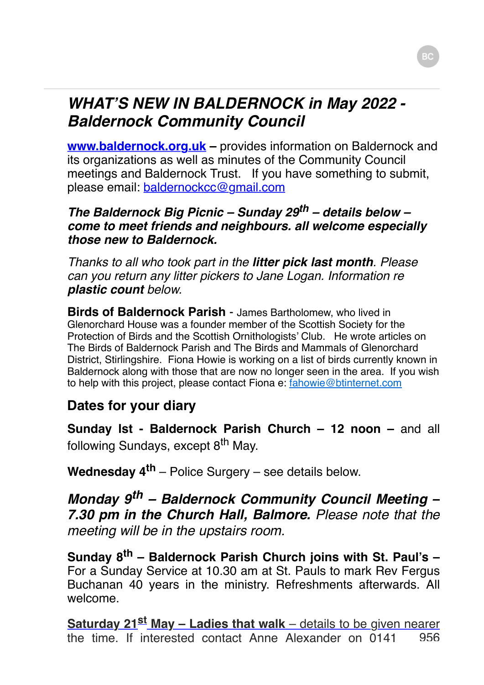# *WHAT'S NEW IN BALDERNOCK in May 2022 - Baldernock Community Council*

**[www.baldernock.org.uk](http://www.baldernock.org.uk/) –** provides information on Baldernock and its organizations as well as minutes of the Community Council meetings and Baldernock Trust. If you have something to submit, please email: [baldernockcc@gmail.com](mailto:baldernockcc@gmail.com)

#### *The Baldernock Big Picnic – Sunday 29th – details below – come to meet friends and neighbours. all welcome especially those new to Baldernock.*

*Thanks to all who took part in the litter pick last month. Please can you return any litter pickers to Jane Logan. Information re plastic count below.*

**Birds of Baldernock Parish** - James Bartholomew, who lived in Glenorchard House was a founder member of the Scottish Society for the Protection of Birds and the Scottish Ornithologists' Club. He wrote articles on The Birds of Baldernock Parish and The Birds and Mammals of Glenorchard District, Stirlingshire. Fiona Howie is working on a list of birds currently known in Baldernock along with those that are now no longer seen in the area. If you wish to help with this project, please contact Fiona e: [fahowie@btinternet.com](mailto:fahowie@btinternet.com)

## **Dates for your diary**

**Sunday Ist - Baldernock Parish Church - 12 noon - and all** following Sundays, except 8<sup>th</sup> May.

**Wednesday 4th** – Police Surgery – see details below.

*Monday 9th – Baldernock Community Council Meeting – 7.30 pm in the Church Hall, Balmore. Please note that the meeting will be in the upstairs room.*

**Sunday 8th – Baldernock Parish Church joins with St. Paul's –** For a Sunday Service at 10.30 am at St. Pauls to mark Rev Fergus Buchanan 40 years in the ministry. Refreshments afterwards. All welcome.

**Saturday 21st May – Ladies that walk** – details to be given nearer the time. If interested contact Anne Alexander on 0141 956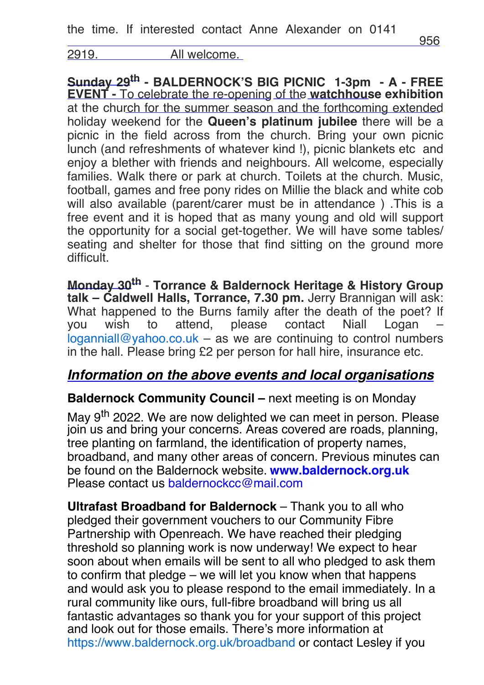2919. All welcome.

**Sunday 29th - BALDERNOCK'S BIG PICNIC 1-3pm - A - FREE EVENT -** To celebrate the re-opening of the **watchhouse exhibition** at the church for the summer season and the forthcoming extended holiday weekend for the **Queen's platinum jubilee** there will be a picnic in the field across from the church. Bring your own picnic lunch (and refreshments of whatever kind !), picnic blankets etc and enjoy a blether with friends and neighbours. All welcome, especially families. Walk there or park at church. Toilets at the church. Music, football, games and free pony rides on Millie the black and white cob will also available (parent/carer must be in attendance ) .This is a free event and it is hoped that as many young and old will support the opportunity for a social get-together. We will have some tables/ seating and shelter for those that find sitting on the ground more difficult.

**Monday 30th** - **Torrance & Baldernock Heritage & History Group talk – Caldwell Halls, Torrance, 7.30 pm.** Jerry Brannigan will ask: What happened to the Burns family after the death of the poet? If you wish to attend, please contact Niall Logan –  $logannial@vahoo.co.uk - as we are continuing to control numbers$ in the hall. Please bring £2 per person for hall hire, insurance etc.

### *Information on the above events and local organisations*

#### **Baldernock Community Council –** next meeting is on Monday

May 9<sup>th</sup> 2022. We are now delighted we can meet in person. Please join us and bring your concerns. Areas covered are roads, planning, tree planting on farmland, the identification of property names, broadband, and many other areas of concern. Previous minutes can be found on the Baldernock website. **[www.baldernock.org.uk](http://www.baldernock.org.uk/)** Please contact us [baldernockcc@mail.com](mailto:baldernockcc@mail.com)

**Ultrafast Broadband for Baldernock** – Thank you to all who pledged their government vouchers to our Community Fibre Partnership with Openreach. We have reached their pledging threshold so planning work is now underway! We expect to hear soon about when emails will be sent to all who pledged to ask them to confirm that pledge – we will let you know when that happens and would ask you to please respond to the email immediately. In a rural community like ours, full-fibre broadband will bring us all fantastic advantages so thank you for your support of this project and look out for those emails. There's more information at <https://www.baldernock.org.uk/broadband> or contact Lesley if you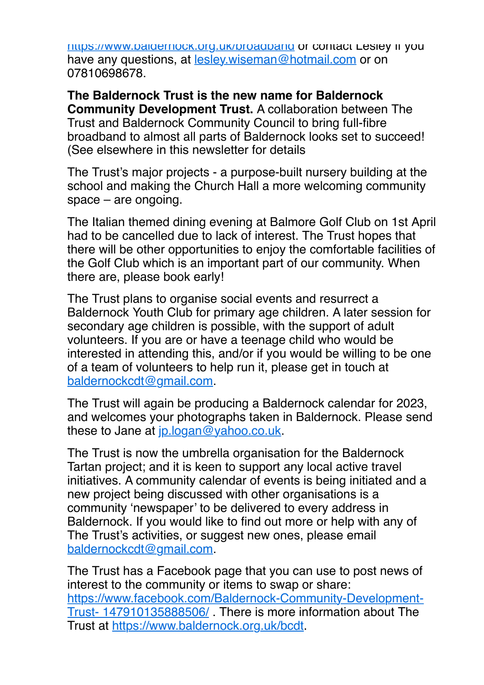<https://www.baldernock.org.uk/broadband>or contact Lesley if you have any questions, at [lesley.wiseman@hotmail.com](mailto:lesley.wiseman@hotmail.com) or on 07810698678.

**The Baldernock Trust is the new name for Baldernock Community Development Trust.** A collaboration between The Trust and Baldernock Community Council to bring full-fibre broadband to almost all parts of Baldernock looks set to succeed! (See elsewhere in this newsletter for details

The Trust's major projects - a purpose-built nursery building at the school and making the Church Hall a more welcoming community space – are ongoing.

The Italian themed dining evening at Balmore Golf Club on 1st April had to be cancelled due to lack of interest. The Trust hopes that there will be other opportunities to enjoy the comfortable facilities of the Golf Club which is an important part of our community. When there are, please book early!

The Trust plans to organise social events and resurrect a Baldernock Youth Club for primary age children. A later session for secondary age children is possible, with the support of adult volunteers. If you are or have a teenage child who would be interested in attending this, and/or if you would be willing to be one of a team of volunteers to help run it, please get in touch at [baldernockcdt@gmail.com](mailto:baldernockcdt@gmail.com).

The Trust will again be producing a Baldernock calendar for 2023, and welcomes your photographs taken in Baldernock. Please send these to Jane at [jp.logan@yahoo.co.uk.](mailto:jp.logan@yahoo.co.uk)

The Trust is now the umbrella organisation for the Baldernock Tartan project; and it is keen to support any local active travel initiatives. A community calendar of events is being initiated and a new project being discussed with other organisations is a community 'newspaper' to be delivered to every address in Baldernock. If you would like to find out more or help with any of The Trust's activities, or suggest new ones, please email [baldernockcdt@gmail.com](mailto:baldernockcdt@gmail.com).

The Trust has a Facebook page that you can use to post news of interest to the community or items to swap or share: [https://www.facebook.com/Baldernock-Community-Development-](https://www.facebook.com/Baldernock-Community-Development-Trust-147910135888506/)Trust- 147910135888506/ . There is more information about The Trust at [https://www.baldernock.org.uk/bcdt.](https://www.baldernock.org.uk/bcdt)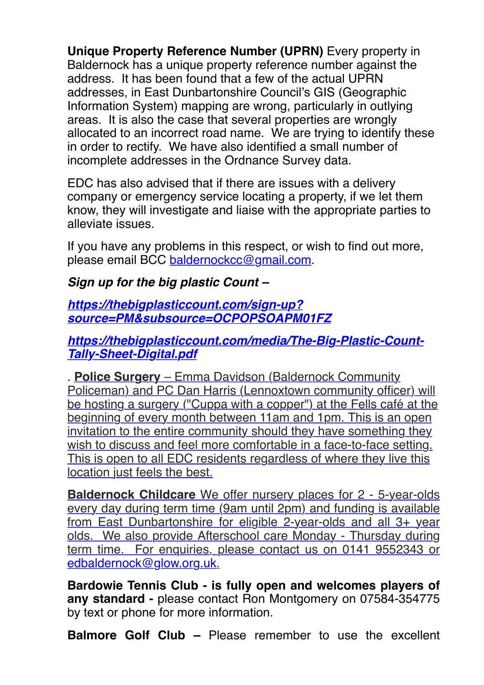**Unique Property Reference Number (UPRN)** Every property in Baldernock has a unique property reference number against the address. It has been found that a few of the actual UPRN addresses, in East Dunbartonshire Council's GIS (Geographic Information System) mapping are wrong, particularly in outlying areas. It is also the case that several properties are wrongly allocated to an incorrect road name. We are trying to identify these in order to rectify. We have also identified a small number of incomplete addresses in the Ordnance Survey data.

EDC has also advised that if there are issues with a delivery company or emergency service locating a property, if we let them know, they will investigate and liaise with the appropriate parties to alleviate issues.

If you have any problems in this respect, or wish to find out more, please email BCC [baldernockcc@gmail.com.](mailto:baldernockcc@gmail.com)

### *Sign up for the big plastic Count –*

#### *https://thebigplasticcount.com/sign-up? [source=PM&subsource=OCPOPSOAPM01FZ](https://thebigplasticcount.com/sign-up?source=PM&subsource=OCPOPSOAPM01FZ)*

### *[https://thebigplasticcount.com/media/The-Big-Plastic-Count-](https://thebigplasticcount.com/media/The-Big-Plastic-Count-Tally-Sheet-Digital.pdf)Tally-Sheet-Digital.pdf*

. **Police Surgery** – Emma Davidson (Baldernock Community Policeman) and PC Dan Harris (Lennoxtown community officer) will be hosting a surgery ("Cuppa with a copper") at the Fells café at the beginning of every month between 11am and 1pm. This is an open invitation to the entire community should they have something they wish to discuss and feel more comfortable in a face-to-face setting. This is open to all EDC residents regardless of where they live this location just feels the best.

**Baldernock Childcare** We offer nursery places for 2 - 5-year-olds every day during term time (9am until 2pm) and funding is available from East Dunbartonshire for eligible 2-year-olds and all 3+ year olds. We also provide Afterschool care Monday - Thursday during term time. For enquiries, please contact us on 0141 9552343 or [edbaldernock@glow.org.uk](mailto:edbaldernock@glow.org.uk).

**Bardowie Tennis Club - is fully open and welcomes players of any standard -** please contact Ron Montgomery on 07584-354775 by text or phone for more information.

**Balmore Golf Club –** Please remember to use the excellent